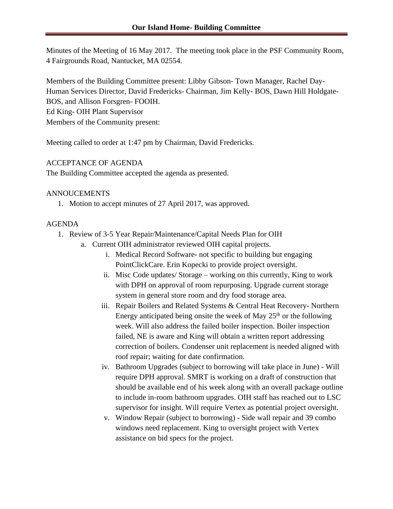Minutes of the Meeting of 16 May 2017. The meeting took place in the PSF Community Room, 4 Fairgrounds Road, Nantucket, MA 02554.

Members of the Building Committee present: Libby Gibson- Town Manager, Rachel Day-Human Services Director, David Fredericks- Chairman, Jim Kelly- BOS, Dawn Hill Holdgate-BOS, and Allison Forsgren- FOOIH. Ed King- OIH Plant Supervisor Members of the Community present:

Meeting called to order at 1:47 pm by Chairman, David Fredericks.

# ACCEPTANCE OF AGENDA

The Building Committee accepted the agenda as presented.

# ANNOUCEMENTS

1. Motion to accept minutes of 27 April 2017, was approved.

# AGENDA

- 1. Review of 3-5 Year Repair/Maintenance/Capital Needs Plan for OIH
	- a. Current OIH administrator reviewed OIH capital projects.
		- i. Medical Record Software- not specific to building but engaging PointClickCare. Erin Kopecki to provide project oversight.
		- ii. Misc Code updates/ Storage working on this currently, King to work with DPH on approval of room repurposing. Upgrade current storage system in general store room and dry food storage area.
		- iii. Repair Boilers and Related Systems & Central Heat Recovery- Northern Energy anticipated being onsite the week of May  $25<sup>th</sup>$  or the following week. Will also address the failed boiler inspection. Boiler inspection failed, NE is aware and King will obtain a written report addressing correction of boilers. Condenser unit replacement is needed aligned with roof repair; waiting for date confirmation.
		- iv. Bathroom Upgrades (subject to borrowing will take place in June) Will require DPH approval. SMRT is working on a draft of construction that should be available end of his week along with an overall package outline to include in-room bathroom upgrades. OIH staff has reached out to LSC supervisor for insight. Will require Vertex as potential project oversight.
		- v. Window Repair (subject to borrowing) Side wall repair and 39 combo windows need replacement. King to oversight project with Vertex assistance on bid specs for the project.